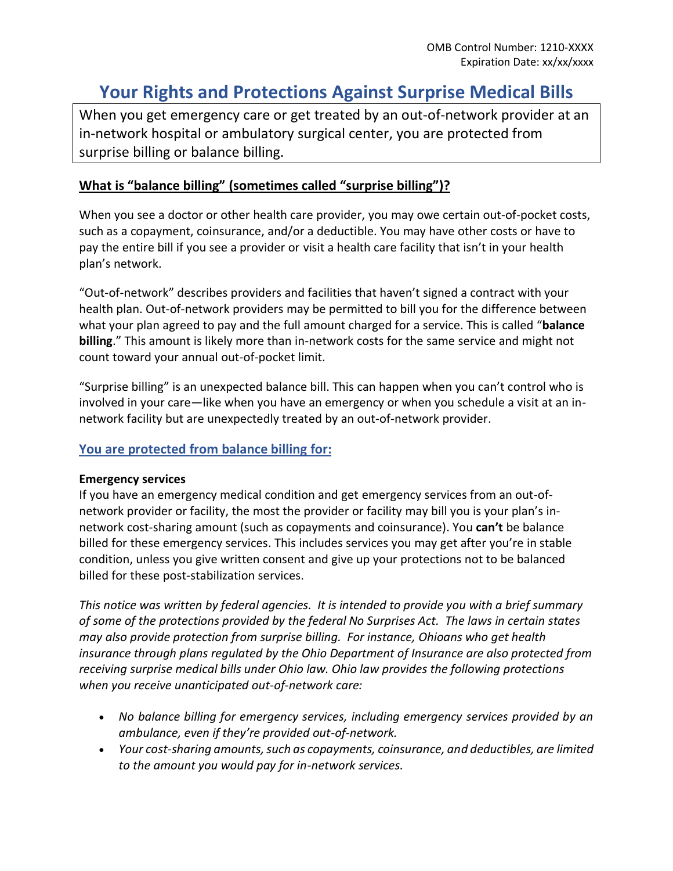# **Your Rights and Protections Against Surprise Medical Bills**

When you get emergency care or get treated by an out-of-network provider at an in-network hospital or ambulatory surgical center, you are protected from surprise billing or balance billing.

# **What is "balance billing" (sometimes called "surprise billing")?**

When you see a doctor or other health care provider, you may owe certain out-of-pocket costs, such as a copayment, coinsurance, and/or a deductible. You may have other costs or have to pay the entire bill if you see a provider or visit a health care facility that isn't in your health plan's network.

"Out-of-network" describes providers and facilities that haven't signed a contract with your health plan. Out-of-network providers may be permitted to bill you for the difference between what your plan agreed to pay and the full amount charged for a service. This is called "**balance billing**." This amount is likely more than in-network costs for the same service and might not count toward your annual out-of-pocket limit.

"Surprise billing" is an unexpected balance bill. This can happen when you can't control who is involved in your care—like when you have an emergency or when you schedule a visit at an innetwork facility but are unexpectedly treated by an out-of-network provider.

## **You are protected from balance billing for:**

#### **Emergency services**

If you have an emergency medical condition and get emergency services from an out-ofnetwork provider or facility, the most the provider or facility may bill you is your plan's innetwork cost-sharing amount (such as copayments and coinsurance). You **can't** be balance billed for these emergency services. This includes services you may get after you're in stable condition, unless you give written consent and give up your protections not to be balanced billed for these post-stabilization services.

*This notice was written by federal agencies. It is intended to provide you with a brief summary of some of the protections provided by the federal No Surprises Act. The laws in certain states may also provide protection from surprise billing. For instance, Ohioans who get health insurance through plans regulated by the Ohio Department of Insurance are also protected from receiving surprise medical bills under Ohio law. Ohio law provides the following protections when you receive unanticipated out-of-network care:*

- *No balance billing for emergency services, including emergency services provided by an ambulance, even if they're provided out-of-network.*
- *Your cost-sharing amounts, such as copayments, coinsurance, and deductibles, are limited to the amount you would pay for in-network services.*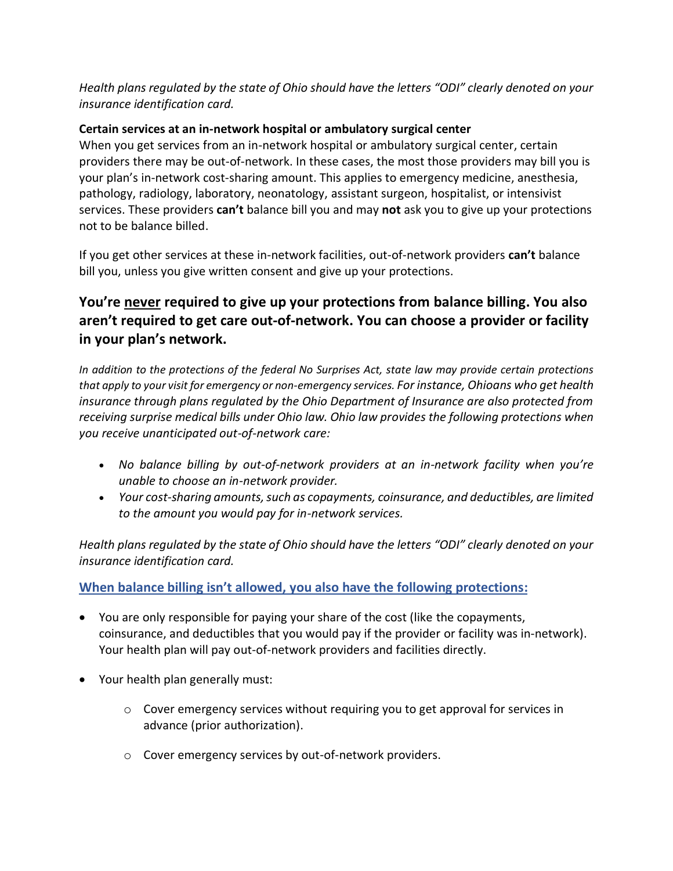*Health plans regulated by the state of Ohio should have the letters "ODI" clearly denoted on your insurance identification card.*

## **Certain services at an in-network hospital or ambulatory surgical center**

When you get services from an in-network hospital or ambulatory surgical center, certain providers there may be out-of-network. In these cases, the most those providers may bill you is your plan's in-network cost-sharing amount. This applies to emergency medicine, anesthesia, pathology, radiology, laboratory, neonatology, assistant surgeon, hospitalist, or intensivist services. These providers **can't** balance bill you and may **not** ask you to give up your protections not to be balance billed.

If you get other services at these in-network facilities, out-of-network providers **can't** balance bill you, unless you give written consent and give up your protections.

# **You're never required to give up your protections from balance billing. You also aren't required to get care out-of-network. You can choose a provider or facility in your plan's network.**

*In addition to the protections of the federal No Surprises Act, state law may provide certain protections that apply to your visit for emergency or non-emergency services. For instance, Ohioans who get health insurance through plans regulated by the Ohio Department of Insurance are also protected from receiving surprise medical bills under Ohio law. Ohio law provides the following protections when you receive unanticipated out-of-network care:*

- *No balance billing by out-of-network providers at an in-network facility when you're unable to choose an in-network provider.*
- *Your cost-sharing amounts, such as copayments, coinsurance, and deductibles, are limited to the amount you would pay for in-network services.*

*Health plans regulated by the state of Ohio should have the letters "ODI" clearly denoted on your insurance identification card.*

# **When balance billing isn't allowed, you also have the following protections:**

- You are only responsible for paying your share of the cost (like the copayments, coinsurance, and deductibles that you would pay if the provider or facility was in-network). Your health plan will pay out-of-network providers and facilities directly.
- Your health plan generally must:
	- o Cover emergency services without requiring you to get approval for services in advance (prior authorization).
	- o Cover emergency services by out-of-network providers.